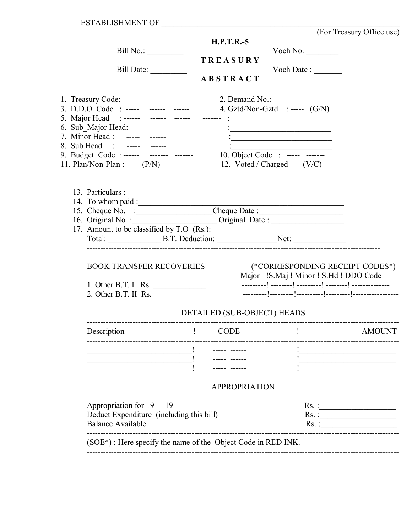$ESTABILITYIMENT OF \begin{tabular}{l} \multicolumn{2}{c} {\textbf{\texttt{ESTABLISHMENT OF}}} \end{tabular}$ 

|             |                                                                                                                                          |                   |                                                                        |                                                                                                                                                                                                                    | TOI TIEGOILY OTITUE USE |  |  |  |  |  |
|-------------|------------------------------------------------------------------------------------------------------------------------------------------|-------------------|------------------------------------------------------------------------|--------------------------------------------------------------------------------------------------------------------------------------------------------------------------------------------------------------------|-------------------------|--|--|--|--|--|
|             |                                                                                                                                          | <b>H.P.T.R.-5</b> |                                                                        | Voch No.                                                                                                                                                                                                           |                         |  |  |  |  |  |
|             |                                                                                                                                          | TREASURY          |                                                                        |                                                                                                                                                                                                                    |                         |  |  |  |  |  |
|             | Bill Date:                                                                                                                               |                   |                                                                        | Voch Date : ________                                                                                                                                                                                               |                         |  |  |  |  |  |
|             |                                                                                                                                          | <b>ABSTRACT</b>   |                                                                        |                                                                                                                                                                                                                    |                         |  |  |  |  |  |
|             |                                                                                                                                          |                   |                                                                        |                                                                                                                                                                                                                    |                         |  |  |  |  |  |
|             | 1. Treasury Code: ----- ------ ------ ------- 2. Demand No.: ----- ------                                                                |                   |                                                                        |                                                                                                                                                                                                                    |                         |  |  |  |  |  |
|             |                                                                                                                                          |                   |                                                                        |                                                                                                                                                                                                                    |                         |  |  |  |  |  |
|             | 6. Sub_Major Head:---- ------                                                                                                            |                   |                                                                        |                                                                                                                                                                                                                    |                         |  |  |  |  |  |
|             | 7. Minor Head : ----- ------                                                                                                             |                   |                                                                        | the control of the control of the control of the control of the control of the control of<br><u> 1950 - Johann John Stoff, market fan de Amerikaanske kommunister oant it ferskeart fan de Amerikaanske kommun</u> |                         |  |  |  |  |  |
|             | 8. Sub Head : ----- ------                                                                                                               |                   |                                                                        |                                                                                                                                                                                                                    |                         |  |  |  |  |  |
|             |                                                                                                                                          |                   | 9. Budget Code : ------ ------- ------- 10. Object Code : ----- ------ |                                                                                                                                                                                                                    |                         |  |  |  |  |  |
|             | 11. Plan/Non-Plan : ----- $(P/N)$ 12. Voted / Charged ---- $(V/C)$                                                                       |                   |                                                                        |                                                                                                                                                                                                                    |                         |  |  |  |  |  |
|             |                                                                                                                                          |                   |                                                                        |                                                                                                                                                                                                                    |                         |  |  |  |  |  |
|             |                                                                                                                                          |                   |                                                                        |                                                                                                                                                                                                                    |                         |  |  |  |  |  |
|             |                                                                                                                                          |                   |                                                                        |                                                                                                                                                                                                                    |                         |  |  |  |  |  |
|             | 14. To whom paid :<br>15. Cheque No. : Cheque Date :<br>16. Original No : _________________________Original Date : _____________________ |                   |                                                                        |                                                                                                                                                                                                                    |                         |  |  |  |  |  |
|             | 17. Amount to be classified by T.O (Rs.):                                                                                                |                   |                                                                        |                                                                                                                                                                                                                    |                         |  |  |  |  |  |
|             |                                                                                                                                          |                   |                                                                        |                                                                                                                                                                                                                    |                         |  |  |  |  |  |
|             |                                                                                                                                          |                   |                                                                        |                                                                                                                                                                                                                    |                         |  |  |  |  |  |
|             |                                                                                                                                          |                   |                                                                        |                                                                                                                                                                                                                    |                         |  |  |  |  |  |
|             | <b>BOOK TRANSFER RECOVERIES</b>                                                                                                          |                   |                                                                        | (*CORRESPONDING RECEIPT CODES*)<br>Major !S.Maj ! Minor ! S.Hd ! DDO Code                                                                                                                                          |                         |  |  |  |  |  |
|             | 1. Other B.T. I Rs. $\_\_$                                                                                                               |                   |                                                                        |                                                                                                                                                                                                                    |                         |  |  |  |  |  |
|             | $2.$ Other B.T. II Rs.                                                                                                                   |                   |                                                                        |                                                                                                                                                                                                                    |                         |  |  |  |  |  |
|             |                                                                                                                                          |                   |                                                                        |                                                                                                                                                                                                                    |                         |  |  |  |  |  |
|             | DETAILED (SUB-OBJECT) HEADS                                                                                                              |                   |                                                                        |                                                                                                                                                                                                                    |                         |  |  |  |  |  |
| Description | <b>Contract Contract District</b>                                                                                                        | CODE              |                                                                        | the contract of the contract of the                                                                                                                                                                                | <b>AMOUNT</b>           |  |  |  |  |  |
|             |                                                                                                                                          |                   |                                                                        |                                                                                                                                                                                                                    |                         |  |  |  |  |  |
|             |                                                                                                                                          |                   |                                                                        |                                                                                                                                                                                                                    |                         |  |  |  |  |  |
|             |                                                                                                                                          |                   |                                                                        |                                                                                                                                                                                                                    |                         |  |  |  |  |  |
|             | <b>APPROPRIATION</b>                                                                                                                     |                   |                                                                        |                                                                                                                                                                                                                    |                         |  |  |  |  |  |
|             |                                                                                                                                          |                   |                                                                        |                                                                                                                                                                                                                    |                         |  |  |  |  |  |
|             | Appropriation for 19 -19                                                                                                                 |                   | Rs. :<br>$Rs.$ :                                                       |                                                                                                                                                                                                                    |                         |  |  |  |  |  |
|             | Deduct Expenditure (including this bill)<br><b>Balance Available</b>                                                                     |                   |                                                                        | $Rs.$ :                                                                                                                                                                                                            |                         |  |  |  |  |  |
|             |                                                                                                                                          |                   |                                                                        |                                                                                                                                                                                                                    |                         |  |  |  |  |  |
|             | $(SOE*)$ : Here specify the name of the Object Code in RED INK.                                                                          |                   |                                                                        |                                                                                                                                                                                                                    |                         |  |  |  |  |  |
|             |                                                                                                                                          |                   |                                                                        |                                                                                                                                                                                                                    |                         |  |  |  |  |  |